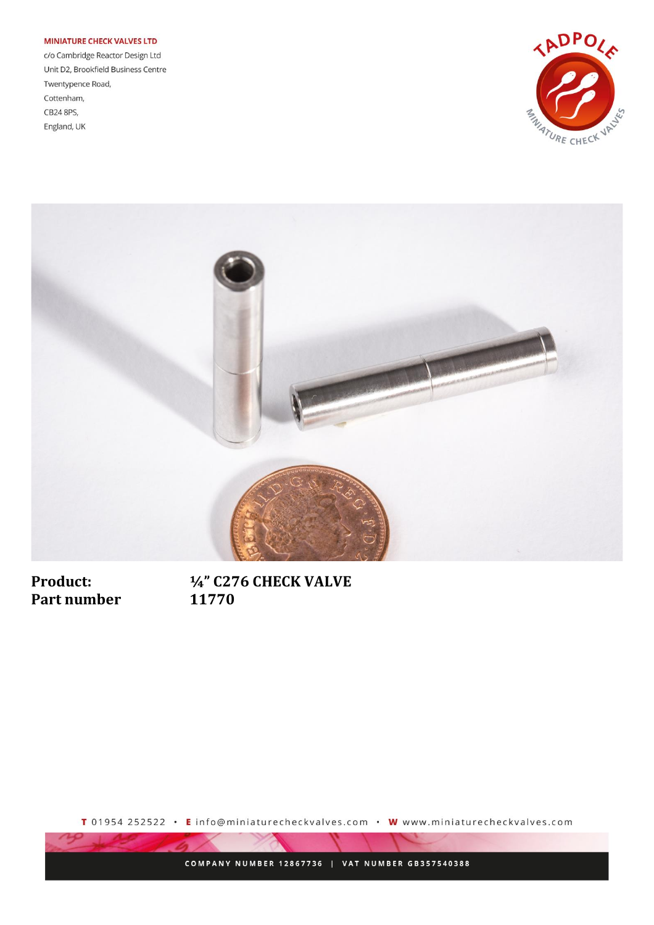## **MINIATURE CHECK VALVES LTD**

c/o Cambridge Reactor Design Ltd Unit D2, Brookfield Business Centre Twentypence Road, Cottenham, CB24 8PS, England, UK





**Product:** Part number 1/4" C276 CHECK VALVE 11770

T 01954 252522 · E info@miniaturecheckvalves.com · W www.miniaturecheckvalves.com

COMPANY NUMBER 12867736 | VAT NUMBER GB357540388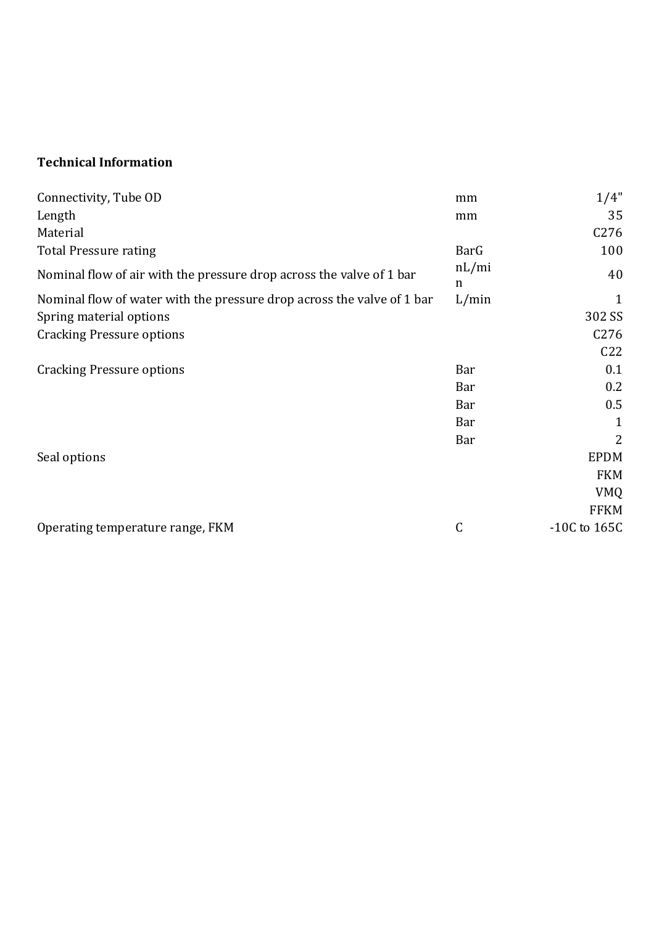## **Technical Information**

| Connectivity, Tube OD                                                  | mm         | 1/4"             |
|------------------------------------------------------------------------|------------|------------------|
| Length                                                                 | mm         | 35               |
| Material                                                               |            | C <sub>276</sub> |
| <b>Total Pressure rating</b>                                           | BarG       | 100              |
| Nominal flow of air with the pressure drop across the valve of 1 bar   | nL/mi<br>n | 40               |
| Nominal flow of water with the pressure drop across the valve of 1 bar | L/min      | 1                |
| Spring material options                                                |            | 302 SS           |
| <b>Cracking Pressure options</b>                                       |            | C <sub>276</sub> |
|                                                                        |            | C <sub>22</sub>  |
| <b>Cracking Pressure options</b>                                       | Bar        | 0.1              |
|                                                                        | Bar        | 0.2              |
|                                                                        | <b>Bar</b> | 0.5              |
|                                                                        | Bar        | $\mathbf{1}$     |
|                                                                        | Bar        | 2                |
| Seal options                                                           |            | <b>EPDM</b>      |
|                                                                        |            | <b>FKM</b>       |
|                                                                        |            | <b>VMQ</b>       |
|                                                                        |            | <b>FFKM</b>      |
| Operating temperature range, FKM                                       | C          | $-10C$ to $165C$ |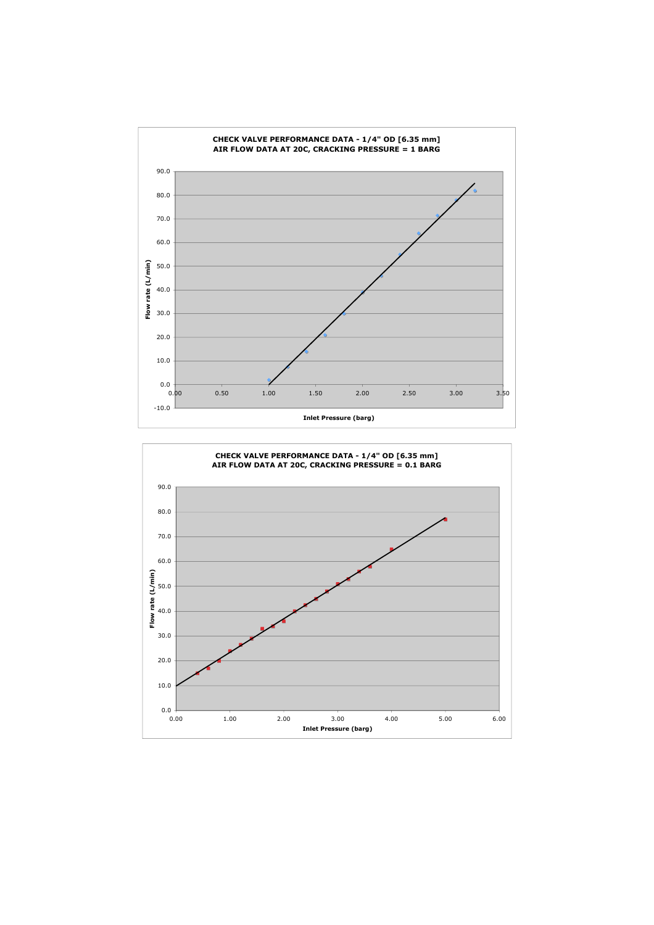